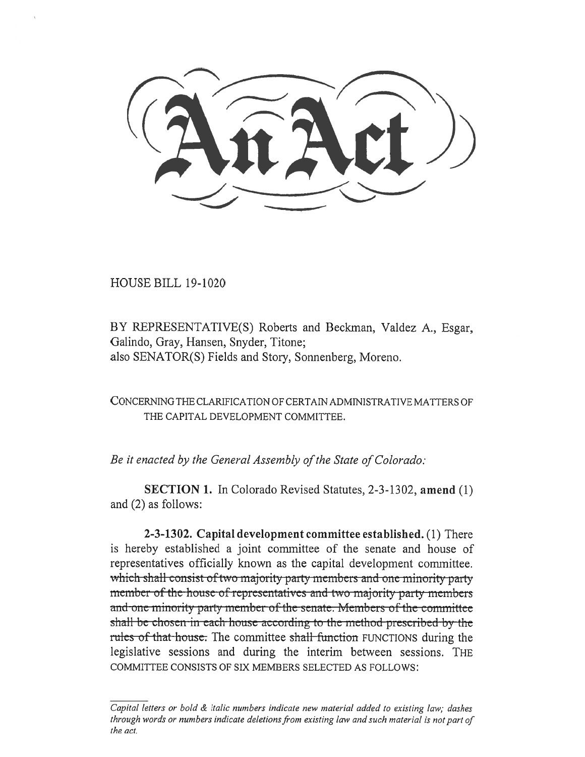HOUSE BILL 19-1020

BY REPRESENTATIVE(S) Roberts and Beckman, Valdez A., Esgar, Galindo, Gray, Hansen, Snyder, Titone; also SENATOR(S) Fields and Story, Sonnenberg, Moreno.

CONCERNING THE CLARIFICATION OF CERTAIN ADMINISTRATIVE MATTERS OF THE CAPITAL DEVELOPMENT COMMITTEE.

*Be it enacted by the General Assembly of the State of Colorado:* 

**SECTION 1.** In Colorado Revised Statutes, 2-3-1302, **amend** (1) and (2) as follows:

**2-3-1302. Capital development committee established.** (1) There is hereby established a joint committee of the senate and house of representatives officially known as the capital development committee. which shall consist of two majority party members and one minority party member-of-the-house-of-representatives-and-two-majority-party-members rules of that house. The committee shall function FUNCTIONS during the and-one-minority party member of the senate. Members of the committee shall be chosen in each house according to the method prescribed by the legislative sessions and during the interim between sessions. THE COMMITTEE CONSISTS OF SIX MEMBERS SELECTED AS FOLLOWS:

*Capital letters or bold & italic numbers indicate new material added to existing law; dashes through words or numbers indicate deletions from existing law and such material is not part of the act.*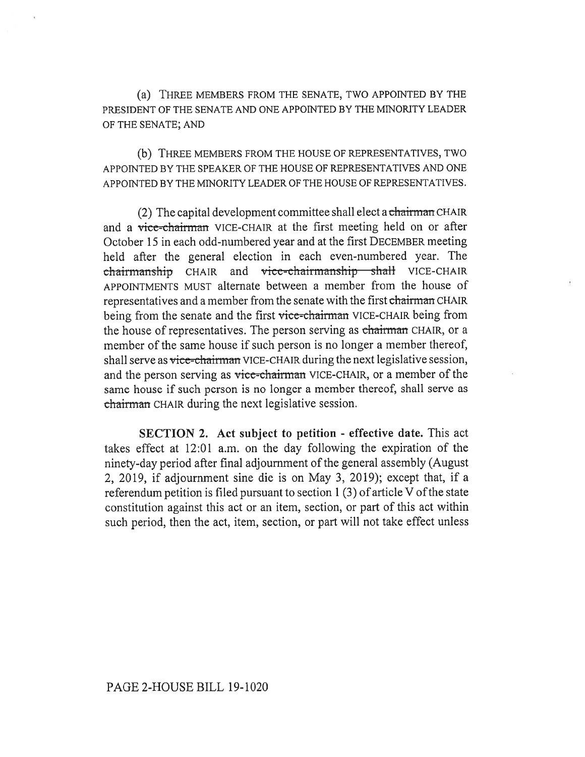(a) THREE MEMBERS FROM THE SENATE, TWO APPOINTED BY THE PRESIDENT OF THE SENATE AND ONE APPOINTED BY THE MINORITY LEADER OF THE SENATE; AND

(b) THREE MEMBERS FROM THE HOUSE OF REPRESENTATIVES, TWO APPOINTED BY THE SPEAKER OF THE HOUSE OF REPRESENTATIVES AND ONE APPOINTED BY THE MINORITY LEADER OF THE HOUSE OF REPRESENTATIVES.

(2) The capital development committee shall elect a chairman CHAIR and a vice-chairman VICE-CHAIR at the first meeting held on or after October 15 in each odd-numbered year and at the first DECEMBER meeting held after the general election in each even-numbered year. The chairmanship CHAIR and vice-chairmanship shall VICE-CHAIR APPOINTMENTS MUST alternate between a member from the house of representatives and a member from the senate with the first chairman CHAIR being from the senate and the first vice-chairman VICE-CHAIR being from the house of representatives. The person serving as chairman CHAIR, or a member of the same house if such person is no longer a member thereof, shall serve as vice-chairman VICE-CHAIR during the next legislative session, and the person serving as vice-chairman VICE-CHAIR, or a member of the same house if such person is no longer a member thereof, shall serve as chairman CHAIR during the next legislative session.

**SECTION 2. Act subject to petition - effective date.** This act takes effect at 12:01 a.m. on the day following the expiration of the ninety-day period after final adjournment of the general assembly (August 2, 2019, if adjournment sine die is on May 3, 2019); except that, if a referendum petition is filed pursuant to section 1 (3) of article V of the state constitution against this act or an item, section, or part of this act within such period, then the act, item, section, or part will not take effect unless